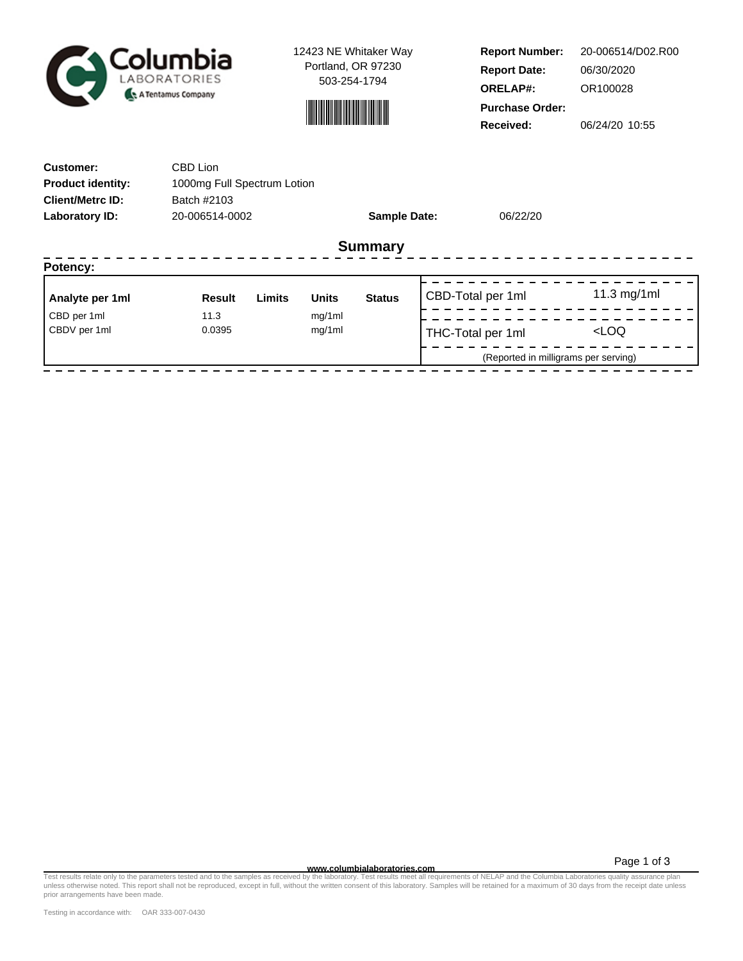

12423 NE Whitaker Way Portland, OR 97230 503-254-1794



**Report Number: Report Date: ORELAP#:** 06/30/2020 OR100028 **Received:** 06/24/20 10:55 **Purchase Order:** 20-006514/D02.R00

| <b>Customer:</b>         | CBD Lion                    |        |              |                     |  |                                      |                     |  |  |
|--------------------------|-----------------------------|--------|--------------|---------------------|--|--------------------------------------|---------------------|--|--|
| <b>Product identity:</b> | 1000mg Full Spectrum Lotion |        |              |                     |  |                                      |                     |  |  |
| <b>Client/Metrc ID:</b>  | Batch #2103                 |        |              |                     |  |                                      |                     |  |  |
| <b>Laboratory ID:</b>    | 20-006514-0002              |        |              | <b>Sample Date:</b> |  | 06/22/20                             |                     |  |  |
| <b>Summary</b>           |                             |        |              |                     |  |                                      |                     |  |  |
| Potency:                 |                             |        |              |                     |  |                                      |                     |  |  |
| Analyte per 1ml          | <b>Result</b>               | Limits | <b>Units</b> | <b>Status</b>       |  | CBD-Total per 1ml                    | 11.3 mg/1ml         |  |  |
| CBD per 1ml              | 11.3                        |        | mg/1ml       |                     |  |                                      |                     |  |  |
| CBDV per 1ml             | 0.0395                      |        | mg/1ml       |                     |  | THC-Total per 1ml                    | <loq< td=""></loq<> |  |  |
|                          |                             |        |              |                     |  | (Reported in milligrams per serving) |                     |  |  |

Page 1 of 3

**www.columbialaboratories.com** Test results relate only to the parameters tested and to the samples as received by the laboratory. Test results meet all requirements of NELAP and the Columbia Laboratories quality assurance plan unless otherwise noted. This report shall not be reproduced, except in full, without the written consent of this laboratory. Samples will be retained for a maximum of 30 days from the receipt date unless prior arrangements have been made.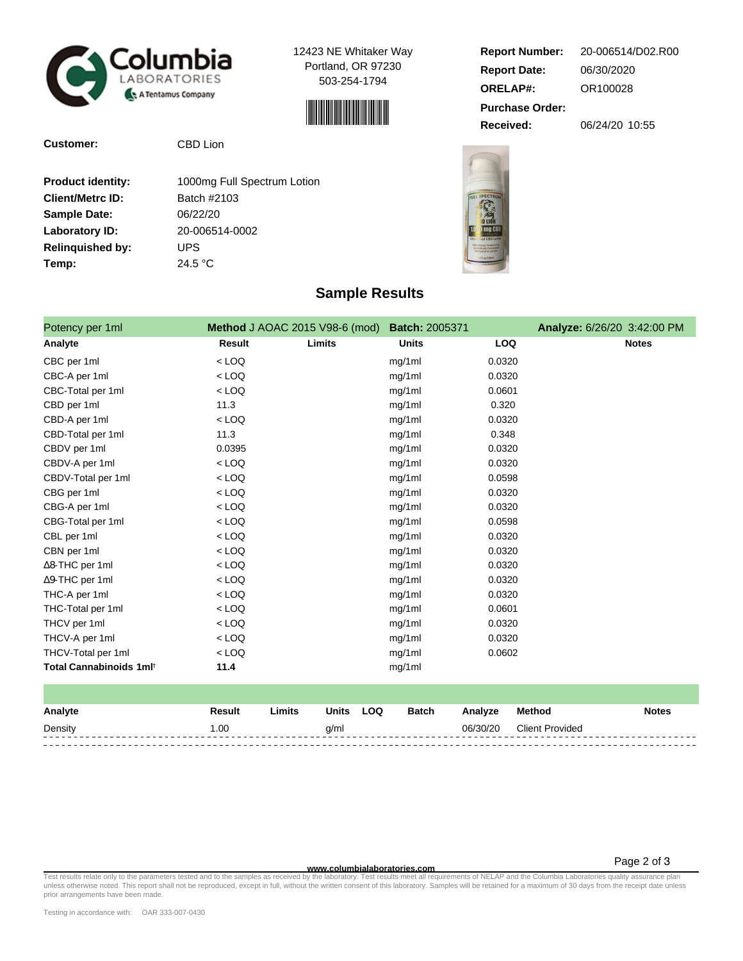

12423 NE Whitaker Way Portland, OR 97230 503-254-1794



**Customer:** CBD Lion

| <b>Product identity:</b> | 1000mg Full Spectrum Lotion |  |  |  |  |  |
|--------------------------|-----------------------------|--|--|--|--|--|
| <b>Client/Metrc ID:</b>  | Batch #2103                 |  |  |  |  |  |
| <b>Sample Date:</b>      | 06/22/20                    |  |  |  |  |  |
| Laboratory ID:           | 20-006514-0002              |  |  |  |  |  |
| <b>Relinguished by:</b>  | UPS                         |  |  |  |  |  |
| Temp:                    | 24.5 $\degree$ C            |  |  |  |  |  |
|                          |                             |  |  |  |  |  |

## **Report Number: Report Date: ORELAP#:** 06/30/2020 OR100028 **Received:** 06/24/20 10:55 **Purchase Order:** 20-006514/D02.R00



| Potency per 1ml                     |               | Method J AOAC 2015 V98-6 (mod) | <b>Batch: 2005371</b> |            | Analyze: 6/26/20 3:42:00 PM |
|-------------------------------------|---------------|--------------------------------|-----------------------|------------|-----------------------------|
| Analyte                             | <b>Result</b> | Limits                         | <b>Units</b>          | <b>LOQ</b> | <b>Notes</b>                |
| CBC per 1ml                         | $<$ LOQ       |                                | mg/1ml                | 0.0320     |                             |
| CBC-A per 1ml                       | $<$ LOQ       |                                | mg/1ml                | 0.0320     |                             |
| CBC-Total per 1ml                   | $<$ LOQ       |                                | mg/1ml                | 0.0601     |                             |
| CBD per 1ml                         | 11.3          |                                | mg/1ml                | 0.320      |                             |
| CBD-A per 1ml                       | $<$ LOQ       |                                | mg/1ml                | 0.0320     |                             |
| CBD-Total per 1ml                   | 11.3          |                                | mg/1ml                | 0.348      |                             |
| CBDV per 1ml                        | 0.0395        |                                | mg/1ml                | 0.0320     |                             |
| CBDV-A per 1ml                      | $<$ LOQ       |                                | mg/1ml                | 0.0320     |                             |
| CBDV-Total per 1ml                  | $<$ LOQ       |                                | mg/1ml                | 0.0598     |                             |
| CBG per 1ml                         | $<$ LOQ       |                                | mg/1ml                | 0.0320     |                             |
| CBG-A per 1ml                       | $<$ LOQ       |                                | mg/1ml                | 0.0320     |                             |
| CBG-Total per 1ml                   | $<$ LOQ       |                                | mg/1ml                | 0.0598     |                             |
| CBL per 1ml                         | $<$ LOQ       |                                | mg/1ml                | 0.0320     |                             |
| CBN per 1ml                         | $<$ LOQ       |                                | mg/1ml                | 0.0320     |                             |
| $\Delta$ 8-THC per 1ml              | $<$ LOQ       |                                | mg/1ml                | 0.0320     |                             |
| ∆9-THC per 1ml                      | $<$ LOQ       |                                | mg/1ml                | 0.0320     |                             |
| THC-A per 1ml                       | $<$ LOQ       |                                | mg/1ml                | 0.0320     |                             |
| THC-Total per 1ml                   | $<$ LOQ       |                                | mg/1ml                | 0.0601     |                             |
| THCV per 1ml                        | $<$ LOQ       |                                | mg/1ml                | 0.0320     |                             |
| THCV-A per 1ml                      | $<$ LOQ       |                                | mg/1ml                | 0.0320     |                             |
| THCV-Total per 1ml                  | $<$ LOQ       |                                | mg/1ml                | 0.0602     |                             |
| Total Cannabinoids 1ml <sup>t</sup> | 11.4          |                                | mg/1ml                |            |                             |

**Sample Results**

| Analyte | Result | Limits | Units | LOQ | Batch | Analyze  | Method                 | <b>Notes</b> |
|---------|--------|--------|-------|-----|-------|----------|------------------------|--------------|
| Density | .00    |        | a/ml  |     |       | 06/30/20 | <b>Client Provided</b> |              |
|         |        |        |       |     |       |          |                        |              |
|         |        |        |       |     |       |          |                        |              |

— et al. and the parameters tested and to the samples as receive**d www.columbialaboratories.com**<br>Test requirements of NELAP and the Columbia Laboratory on the Microsofty. Test results meet all requirements of NELAP and the prior arrangements have been made.